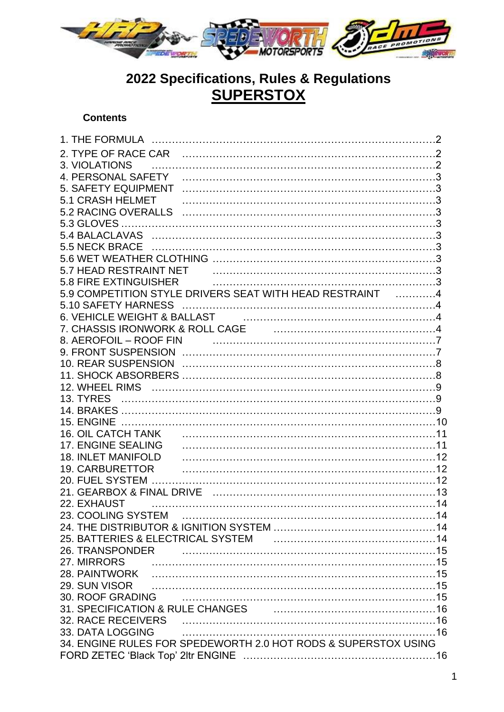

# **2022 Specifications, Rules & Regulations SUPERSTOX**

## **Contents**

| 3. VIOLATIONS                                                                            |  |
|------------------------------------------------------------------------------------------|--|
| 4. PERSONAL SAFETY                                                                       |  |
| <b>5. SAFETY EQUIPMENT</b>                                                               |  |
| 5.1 CRASH HELMET                                                                         |  |
|                                                                                          |  |
|                                                                                          |  |
|                                                                                          |  |
|                                                                                          |  |
|                                                                                          |  |
|                                                                                          |  |
| 5.8 FIRE EXTINGUISHER                                                                    |  |
| 5.9 COMPETITION STYLE DRIVERS SEAT WITH HEAD RESTRAINT 4                                 |  |
|                                                                                          |  |
|                                                                                          |  |
| 7. CHASSIS IRONWORK & ROLL CAGE <b>CONSTRUSTED ASSESSING</b> TO CHASSIS IN THE ROLL CAGE |  |
| 8. AEROFOIL – ROOF FIN                                                                   |  |
|                                                                                          |  |
|                                                                                          |  |
|                                                                                          |  |
|                                                                                          |  |
|                                                                                          |  |
|                                                                                          |  |
|                                                                                          |  |
|                                                                                          |  |
| 17. ENGINE SEALING                                                                       |  |
| <b>18. INLET MANIFOLD</b>                                                                |  |
| 19. CARBURETTOR                                                                          |  |
|                                                                                          |  |
|                                                                                          |  |
| 22. EXHAUST                                                                              |  |
|                                                                                          |  |
|                                                                                          |  |
| 26. TRANSPONDER                                                                          |  |
| 27. MIRRORS                                                                              |  |
|                                                                                          |  |
|                                                                                          |  |
|                                                                                          |  |
| 31. SPECIFICATION & RULE CHANGES <b>CONSERVERS</b> 21. SPECIFICATION & RULE CHANGES      |  |
|                                                                                          |  |
| 33. DATA LOGGING                                                                         |  |
| 34. ENGINE RULES FOR SPEDEWORTH 2.0 HOT RODS & SUPERSTOX USING                           |  |
|                                                                                          |  |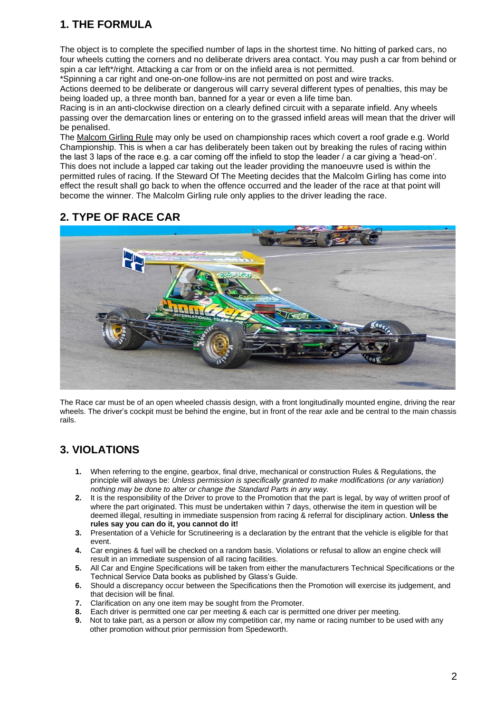# **1. THE FORMULA**

The object is to complete the specified number of laps in the shortest time. No hitting of parked cars, no four wheels cutting the corners and no deliberate drivers area contact. You may push a car from behind or spin a car left\*/right. Attacking a car from or on the infield area is not permitted.

\*Spinning a car right and one-on-one follow-ins are not permitted on post and wire tracks.

Actions deemed to be deliberate or dangerous will carry several different types of penalties, this may be being loaded up, a three month ban, banned for a year or even a life time ban.

Racing is in an anti-clockwise direction on a clearly defined circuit with a separate infield. Any wheels passing over the demarcation lines or entering on to the grassed infield areas will mean that the driver will be penalised.

The Malcom Girling Rule may only be used on championship races which covert a roof grade e.g. World Championship. This is when a car has deliberately been taken out by breaking the rules of racing within the last 3 laps of the race e.g. a car coming off the infield to stop the leader / a car giving a 'head-on'. This does not include a lapped car taking out the leader providing the manoeuvre used is within the permitted rules of racing. If the Steward Of The Meeting decides that the Malcolm Girling has come into effect the result shall go back to when the offence occurred and the leader of the race at that point will become the winner. The Malcolm Girling rule only applies to the driver leading the race.

# **2. TYPE OF RACE CAR**



The Race car must be of an open wheeled chassis design, with a front longitudinally mounted engine, driving the rear wheels. The driver's cockpit must be behind the engine, but in front of the rear axle and be central to the main chassis rails.

# **3. VIOLATIONS**

- **1.** When referring to the engine, gearbox, final drive, mechanical or construction Rules & Regulations, the principle will always be: *Unless permission is specifically granted to make modifications (or any variation) nothing may be done to alter or change the Standard Parts in any way.*
- **2.** It is the responsibility of the Driver to prove to the Promotion that the part is legal, by way of written proof of where the part originated. This must be undertaken within 7 days, otherwise the item in question will be deemed illegal, resulting in immediate suspension from racing & referral for disciplinary action. **Unless the rules say you can do it, you cannot do it!**
- **3.** Presentation of a Vehicle for Scrutineering is a declaration by the entrant that the vehicle is eligible for that event.
- **4.** Car engines & fuel will be checked on a random basis. Violations or refusal to allow an engine check will result in an immediate suspension of all racing facilities.
- **5.** All Car and Engine Specifications will be taken from either the manufacturers Technical Specifications or the Technical Service Data books as published by Glass's Guide.
- **6.** Should a discrepancy occur between the Specifications then the Promotion will exercise its judgement, and that decision will be final.
- **7.** Clarification on any one item may be sought from the Promoter.
- **8.** Each driver is permitted one car per meeting & each car is permitted one driver per meeting.
- **9.** Not to take part, as a person or allow my competition car, my name or racing number to be used with any other promotion without prior permission from Spedeworth.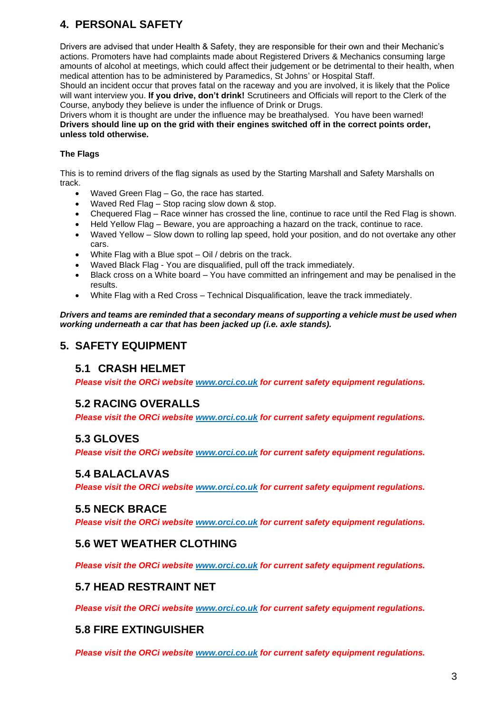# **4. PERSONAL SAFETY**

Drivers are advised that under Health & Safety, they are responsible for their own and their Mechanic's actions. Promoters have had complaints made about Registered Drivers & Mechanics consuming large amounts of alcohol at meetings, which could affect their judgement or be detrimental to their health, when medical attention has to be administered by Paramedics, St Johns' or Hospital Staff.

Should an incident occur that proves fatal on the raceway and you are involved, it is likely that the Police will want interview you. **If you drive, don't drink!** Scrutineers and Officials will report to the Clerk of the Course, anybody they believe is under the influence of Drink or Drugs.

Drivers whom it is thought are under the influence may be breathalysed. You have been warned! **Drivers should line up on the grid with their engines switched off in the correct points order, unless told otherwise.** 

#### **The Flags**

This is to remind drivers of the flag signals as used by the Starting Marshall and Safety Marshalls on track.

- Waved Green Flag Go, the race has started.
- Waved Red Flag Stop racing slow down & stop.
- Chequered Flag Race winner has crossed the line, continue to race until the Red Flag is shown.
- Held Yellow Flag Beware, you are approaching a hazard on the track, continue to race.
- Waved Yellow Slow down to rolling lap speed, hold your position, and do not overtake any other cars.
- White Flag with a Blue spot Oil / debris on the track.
- Waved Black Flag You are disqualified, pull off the track immediately.
- Black cross on a White board You have committed an infringement and may be penalised in the results.
- White Flag with a Red Cross Technical Disqualification, leave the track immediately.

*Drivers and teams are reminded that a secondary means of supporting a vehicle must be used when working underneath a car that has been jacked up (i.e. axle stands).*

## **5. SAFETY EQUIPMENT**

## **5.1 CRASH HELMET**

*Please visit the ORCi website [www.orci.co.uk](http://www.orci.co.uk/) for current safety equipment regulations.*

## **5.2 RACING OVERALLS**

*Please visit the ORCi website [www.orci.co.uk](http://www.orci.co.uk/) for current safety equipment regulations.*

## **5.3 GLOVES**

*Please visit the ORCi website [www.orci.co.uk](http://www.orci.co.uk/) for current safety equipment regulations.*

#### **5.4 BALACLAVAS**

*Please visit the ORCi website [www.orci.co.uk](http://www.orci.co.uk/) for current safety equipment regulations.*

## **5.5 NECK BRACE**

*Please visit the ORCi website [www.orci.co.uk](http://www.orci.co.uk/) for current safety equipment regulations.*

## **5.6 WET WEATHER CLOTHING**

*Please visit the ORCi website [www.orci.co.uk](http://www.orci.co.uk/) for current safety equipment regulations.*

## **5.7 HEAD RESTRAINT NET**

*Please visit the ORCi website [www.orci.co.uk](http://www.orci.co.uk/) for current safety equipment regulations.*

#### **5.8 FIRE EXTINGUISHER**

*Please visit the ORCi website [www.orci.co.uk](http://www.orci.co.uk/) for current safety equipment regulations.*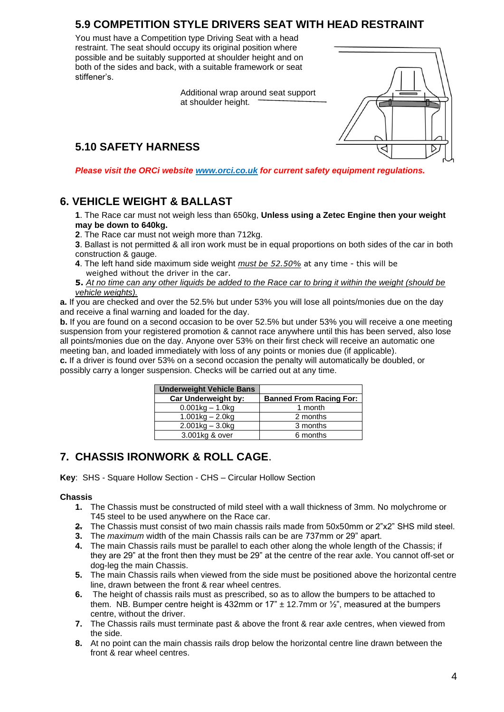# **5.9 COMPETITION STYLE DRIVERS SEAT WITH HEAD RESTRAINT**

You must have a Competition type Driving Seat with a head restraint. The seat should occupy its original position where possible and be suitably supported at shoulder height and on both of the sides and back, with a suitable framework or seat stiffener's.

> Additional wrap around seat support at shoulder height.

# **5.10 SAFETY HARNESS**



*Please visit the ORCi website [www.orci.co.uk](http://www.orci.co.uk/) for current safety equipment regulations.*

## **6. VEHICLE WEIGHT & BALLAST**

**1**. The Race car must not weigh less than 650kg, **Unless using a Zetec Engine then your weight may be down to 640kg.**

**2**. The Race car must not weigh more than 712kg.

**3**. Ballast is not permitted & all iron work must be in equal proportions on both sides of the car in both construction & gauge.

**4**. The left hand side maximum side weight *must be 52.50%* at any time - this will be weighed without the driver in the car.

**5.** *At no time can any other liquids be added to the Race car to bring it within the weight (should be vehicle weights).*

**a.** If you are checked and over the 52.5% but under 53% you will lose all points/monies due on the day and receive a final warning and loaded for the day.

**b.** If you are found on a second occasion to be over 52.5% but under 53% you will receive a one meeting suspension from your registered promotion & cannot race anywhere until this has been served, also lose all points/monies due on the day. Anyone over 53% on their first check will receive an automatic one meeting ban, and loaded immediately with loss of any points or monies due (if applicable).

**c.** If a driver is found over 53% on a second occasion the penalty will automatically be doubled, or possibly carry a longer suspension. Checks will be carried out at any time.

| <b>Underweight Vehicle Bans</b> |                                |
|---------------------------------|--------------------------------|
| <b>Car Underweight by:</b>      | <b>Banned From Racing For:</b> |
| $0.001$ kg – 1.0kg              | 1 month                        |
| $1.001$ kg – 2.0kg              | 2 months                       |
| $2.001$ kg – $3.0$ kg           | 3 months                       |
| 3.001kg & over                  | 6 months                       |

## **7. CHASSIS IRONWORK & ROLL CAGE**.

**Key**: SHS - Square Hollow Section - CHS – Circular Hollow Section

#### **Chassis**

- **1.** The Chassis must be constructed of mild steel with a wall thickness of 3mm. No molychrome or T45 steel to be used anywhere on the Race car.
- **2.** The Chassis must consist of two main chassis rails made from 50x50mm or 2"x2" SHS mild steel.
- **3.** The *maximum* width of the main Chassis rails can be are 737mm or 29" apart.
- **4.** The main Chassis rails must be parallel to each other along the whole length of the Chassis; if they are 29" at the front then they must be 29" at the centre of the rear axle. You cannot off-set or dog-leg the main Chassis.
- **5.** The main Chassis rails when viewed from the side must be positioned above the horizontal centre line, drawn between the front & rear wheel centres.
- **6.** The height of chassis rails must as prescribed, so as to allow the bumpers to be attached to them. NB. Bumper centre height is 432mm or  $17" \pm 12.7$ mm or  $\frac{1}{2}$ ", measured at the bumpers centre, without the driver.
- **7.** The Chassis rails must terminate past & above the front & rear axle centres, when viewed from the side.
- **8.** At no point can the main chassis rails drop below the horizontal centre line drawn between the front & rear wheel centres.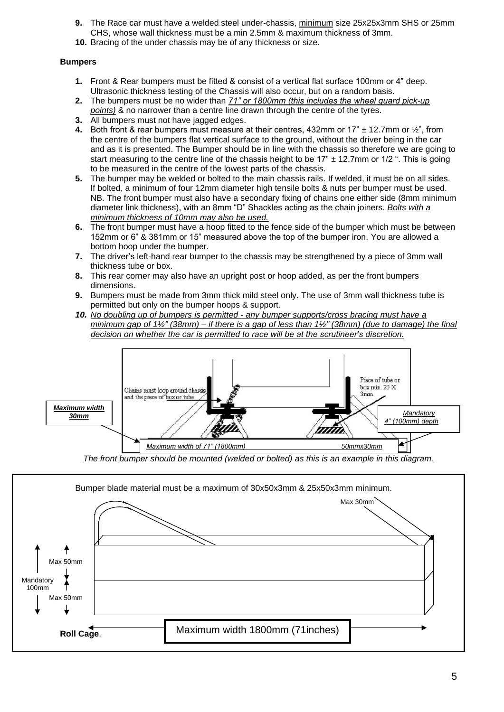- **9.** The Race car must have a welded steel under-chassis, minimum size 25x25x3mm SHS or 25mm CHS, whose wall thickness must be a min 2.5mm & maximum thickness of 3mm.
- **10.** Bracing of the under chassis may be of any thickness or size.

#### **Bumpers**

- **1.** Front & Rear bumpers must be fitted & consist of a vertical flat surface 100mm or 4" deep. Ultrasonic thickness testing of the Chassis will also occur, but on a random basis.
- **2.** The bumpers must be no wider than *71" or 1800mm (this includes the wheel guard pick-up points)* & no narrower than a centre line drawn through the centre of the tyres.
- **3.** All bumpers must not have jagged edges.
- **4.** Both front & rear bumpers must measure at their centres, 432mm or 17" ± 12.7mm or ½", from the centre of the bumpers flat vertical surface to the ground, without the driver being in the car and as it is presented. The Bumper should be in line with the chassis so therefore we are going to start measuring to the centre line of the chassis height to be  $17" \pm 12.7$ mm or  $1/2$ ". This is going to be measured in the centre of the lowest parts of the chassis.
- **5.** The bumper may be welded or bolted to the main chassis rails. If welded, it must be on all sides. If bolted, a minimum of four 12mm diameter high tensile bolts & nuts per bumper must be used. NB. The front bumper must also have a secondary fixing of chains one either side (8mm minimum diameter link thickness), with an 8mm "D" Shackles acting as the chain joiners. *Bolts with a minimum thickness of 10mm may also be used.*
- **6.** The front bumper must have a hoop fitted to the fence side of the bumper which must be between 152mm or 6" & 381mm or 15" measured above the top of the bumper iron. You are allowed a bottom hoop under the bumper.
- **7.** The driver's left-hand rear bumper to the chassis may be strengthened by a piece of 3mm wall thickness tube or box.
- **8.** This rear corner may also have an upright post or hoop added, as per the front bumpers dimensions.
- **9.** Bumpers must be made from 3mm thick mild steel only. The use of 3mm wall thickness tube is permitted but only on the bumper hoops & support.
- *10. No doubling up of bumpers is permitted - any bumper supports/cross bracing must have a minimum gap of 1½" (38mm) – if there is a gap of less than 1½" (38mm) (due to damage) the final decision on whether the car is permitted to race will be at the scrutineer's discretion.*



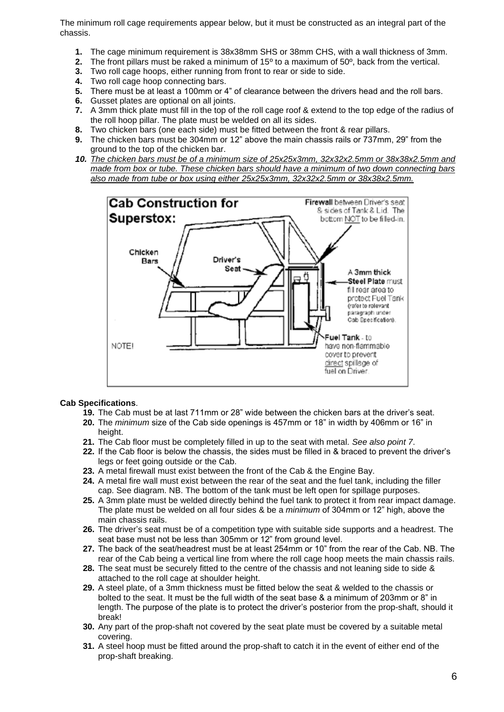The minimum roll cage requirements appear below, but it must be constructed as an integral part of the chassis.

- **1.** The cage minimum requirement is 38x38mm SHS or 38mm CHS, with a wall thickness of 3mm.
- **2.** The front pillars must be raked a minimum of 15º to a maximum of 50º, back from the vertical.
- **2.** The front pillars must be raked a minimum of 15<sup>o</sup> to a maximum of 50<br>**3.** Two roll cage hoops, either running from front to rear or side to side.
- **4.** Two roll cage hoop connecting bars.
- **5.** There must be at least a 100mm or 4" of clearance between the drivers head and the roll bars.
- **6.** Gusset plates are optional on all joints.
- **7.** A 3mm thick plate must fill in the top of the roll cage roof & extend to the top edge of the radius of the roll hoop pillar. The plate must be welded on all its sides.
- **8.** Two chicken bars (one each side) must be fitted between the front & rear pillars.
- **9.** The chicken bars must be 304mm or 12" above the main chassis rails or 737mm, 29" from the ground to the top of the chicken bar.
- *10. The chicken bars must be of a minimum size of 25x25x3mm, 32x32x2.5mm or 38x38x2.5mm and made from box or tube. These chicken bars should have a minimum of two down connecting bars also made from tube or box using either 25x25x3mm, 32x32x2.5mm or 38x38x2.5mm.*



#### **Cab Specifications**.

- **19.** The Cab must be at last 711mm or 28" wide between the chicken bars at the driver's seat.
- **20.** The *minimum* size of the Cab side openings is 457mm or 18" in width by 406mm or 16" in height.
- **21.** The Cab floor must be completely filled in up to the seat with metal. *See also point 7*.
- **22.** If the Cab floor is below the chassis, the sides must be filled in & braced to prevent the driver's legs or feet going outside or the Cab.
- **23.** A metal firewall must exist between the front of the Cab & the Engine Bay.
- **24.** A metal fire wall must exist between the rear of the seat and the fuel tank, including the filler cap. See diagram. NB. The bottom of the tank must be left open for spillage purposes.
- **25.** A 3mm plate must be welded directly behind the fuel tank to protect it from rear impact damage. The plate must be welded on all four sides & be a *minimum* of 304mm or 12" high, above the main chassis rails.
- **26.** The driver's seat must be of a competition type with suitable side supports and a headrest. The seat base must not be less than 305mm or 12" from ground level.
- **27.** The back of the seat/headrest must be at least 254mm or 10" from the rear of the Cab. NB. The rear of the Cab being a vertical line from where the roll cage hoop meets the main chassis rails.
- **28.** The seat must be securely fitted to the centre of the chassis and not leaning side to side & attached to the roll cage at shoulder height.
- **29.** A steel plate, of a 3mm thickness must be fitted below the seat & welded to the chassis or bolted to the seat. It must be the full width of the seat base & a minimum of 203mm or 8" in length. The purpose of the plate is to protect the driver's posterior from the prop-shaft, should it break!
- **30.** Any part of the prop-shaft not covered by the seat plate must be covered by a suitable metal covering.
- **31.** A steel hoop must be fitted around the prop-shaft to catch it in the event of either end of the prop-shaft breaking.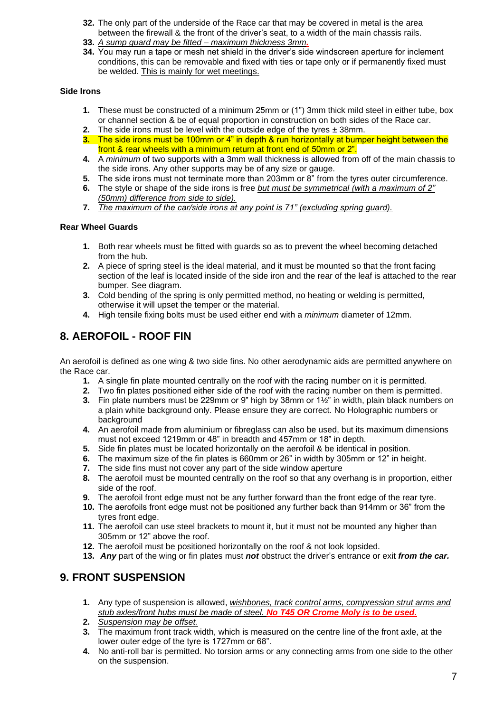- **32.** The only part of the underside of the Race car that may be covered in metal is the area between the firewall & the front of the driver's seat, to a width of the main chassis rails.
- **33.** *A sump guard may be fitted – maximum thickness 3mm.*
- **34.** You may run a tape or mesh net shield in the driver's side windscreen aperture for inclement conditions, this can be removable and fixed with ties or tape only or if permanently fixed must be welded. This is mainly for wet meetings.

#### **Side Irons**

- **1.** These must be constructed of a minimum 25mm or (1") 3mm thick mild steel in either tube, box or channel section & be of equal proportion in construction on both sides of the Race car.
- **2.** The side irons must be level with the outside edge of the tyres  $\pm$  38mm.
- **3.** The side irons must be 100mm or 4" in depth & run horizontally at bumper height between the front & rear wheels with a minimum return at front end of 50mm or 2".
- **4.** A *minimum* of two supports with a 3mm wall thickness is allowed from off of the main chassis to the side irons. Any other supports may be of any size or gauge.
- **5.** The side irons must not terminate more than 203mm or 8" from the tyres outer circumference.
- **6.** The style or shape of the side irons is free *but must be symmetrical (with a maximum of 2" (50mm) difference from side to side).*
- **7.** *The maximum of the car/side irons at any point is 71" (excluding spring guard).*

#### **Rear Wheel Guards**

- **1.** Both rear wheels must be fitted with guards so as to prevent the wheel becoming detached from the hub.
- **2.** A piece of spring steel is the ideal material, and it must be mounted so that the front facing section of the leaf is located inside of the side iron and the rear of the leaf is attached to the rear bumper. See diagram.
- **3.** Cold bending of the spring is only permitted method, no heating or welding is permitted, otherwise it will upset the temper or the material.
- **4.** High tensile fixing bolts must be used either end with a *minimum* diameter of 12mm.

## **8. AEROFOIL - ROOF FIN**

An aerofoil is defined as one wing & two side fins. No other aerodynamic aids are permitted anywhere on the Race car.

- **1.** A single fin plate mounted centrally on the roof with the racing number on it is permitted.
- **2.** Two fin plates positioned either side of the roof with the racing number on them is permitted.
- **3.** Fin plate numbers must be 229mm or 9" high by 38mm or 1½" in width, plain black numbers on a plain white background only. Please ensure they are correct. No Holographic numbers or background
- **4.** An aerofoil made from aluminium or fibreglass can also be used, but its maximum dimensions must not exceed 1219mm or 48" in breadth and 457mm or 18" in depth.
- **5.** Side fin plates must be located horizontally on the aerofoil & be identical in position.
- **6.** The maximum size of the fin plates is 660mm or 26" in width by 305mm or 12" in height.
- **7.** The side fins must not cover any part of the side window aperture
- **8.** The aerofoil must be mounted centrally on the roof so that any overhang is in proportion, either side of the roof.
- **9.** The aerofoil front edge must not be any further forward than the front edge of the rear tyre.
- **10.** The aerofoils front edge must not be positioned any further back than 914mm or 36" from the tyres front edge.
- **11.** The aerofoil can use steel brackets to mount it, but it must not be mounted any higher than 305mm or 12" above the roof.
- **12.** The aerofoil must be positioned horizontally on the roof & not look lopsided.
- **13.** *Any* part of the wing or fin plates must *not* obstruct the driver's entrance or exit *from the car.*

## **9. FRONT SUSPENSION**

- **1.** Any type of suspension is allowed, *wishbones, track control arms, compression strut arms and stub axles/front hubs must be made of steel. No T45 OR Crome Moly is to be used.*
- **2.** *Suspension may be offset.*
- **3.** The maximum front track width, which is measured on the centre line of the front axle, at the lower outer edge of the tyre is 1727mm or 68".
- **4.** No anti-roll bar is permitted. No torsion arms or any connecting arms from one side to the other on the suspension.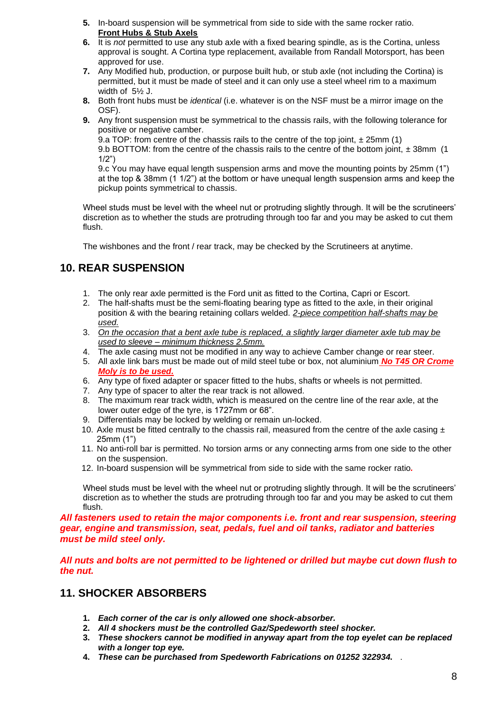- **5.** In-board suspension will be symmetrical from side to side with the same rocker ratio. **Front Hubs & Stub Axels**
- **6.** It is *not* permitted to use any stub axle with a fixed bearing spindle, as is the Cortina, unless approval is sought. A Cortina type replacement, available from Randall Motorsport, has been approved for use.
- **7.** Any Modified hub, production, or purpose built hub, or stub axle (not including the Cortina) is permitted, but it must be made of steel and it can only use a steel wheel rim to a maximum width of 5½ J.
- **8.** Both front hubs must be *identical* (i.e. whatever is on the NSF must be a mirror image on the OSF).
- **9.** Any front suspension must be symmetrical to the chassis rails, with the following tolerance for positive or negative camber.

9.a TOP: from centre of the chassis rails to the centre of the top joint,  $\pm$  25mm (1) 9.b BOTTOM: from the centre of the chassis rails to the centre of the bottom joint,  $\pm$  38mm (1)  $1/2"$ 

9.c You may have equal length suspension arms and move the mounting points by 25mm (1") at the top  $\&$  38mm (1 1/2") at the bottom or have unequal length suspension arms and keep the pickup points symmetrical to chassis.

Wheel studs must be level with the wheel nut or protruding slightly through. It will be the scrutineers' discretion as to whether the studs are protruding through too far and you may be asked to cut them flush.

The wishbones and the front / rear track, may be checked by the Scrutineers at anytime.

# **10. REAR SUSPENSION**

- 1. The only rear axle permitted is the Ford unit as fitted to the Cortina, Capri or Escort.
- 2. The half-shafts must be the semi-floating bearing type as fitted to the axle, in their original position & with the bearing retaining collars welded. *2-piece competition half-shafts may be used.*
- 3. *On the occasion that a bent axle tube is replaced, a slightly larger diameter axle tub may be used to sleeve – minimum thickness 2.5mm.*
- 4. The axle casing must not be modified in any way to achieve Camber change or rear steer.
- 5. All axle link bars must be made out of mild steel tube or box, not aluminium *No T45 OR Crome Moly is to be used.*
- 6. Any type of fixed adapter or spacer fitted to the hubs, shafts or wheels is not permitted.
- 7. Any type of spacer to alter the rear track is not allowed.
- 8. The maximum rear track width, which is measured on the centre line of the rear axle, at the lower outer edge of the tyre, is 1727mm or 68".
- 9. Differentials may be locked by welding or remain un-locked.
- 10. Axle must be fitted centrally to the chassis rail, measured from the centre of the axle casing  $\pm$ 25mm (1")
- 11. No anti-roll bar is permitted. No torsion arms or any connecting arms from one side to the other on the suspension.
- 12. In-board suspension will be symmetrical from side to side with the same rocker ratio*.*

Wheel studs must be level with the wheel nut or protruding slightly through. It will be the scrutineers' discretion as to whether the studs are protruding through too far and you may be asked to cut them flush.

*All fasteners used to retain the major components i.e. front and rear suspension, steering gear, engine and transmission, seat, pedals, fuel and oil tanks, radiator and batteries must be mild steel only.* 

*All nuts and bolts are not permitted to be lightened or drilled but maybe cut down flush to the nut.*

# **11. SHOCKER ABSORBERS**

- **1.** *Each corner of the car is only allowed one shock-absorber.*
- **2.** *All 4 shockers must be the controlled Gaz/Spedeworth steel shocker.*
- **3.** *These shockers cannot be modified in anyway apart from the top eyelet can be replaced with a longer top eye.*
- **4.** *These can be purchased from Spedeworth Fabrications on 01252 322934.* .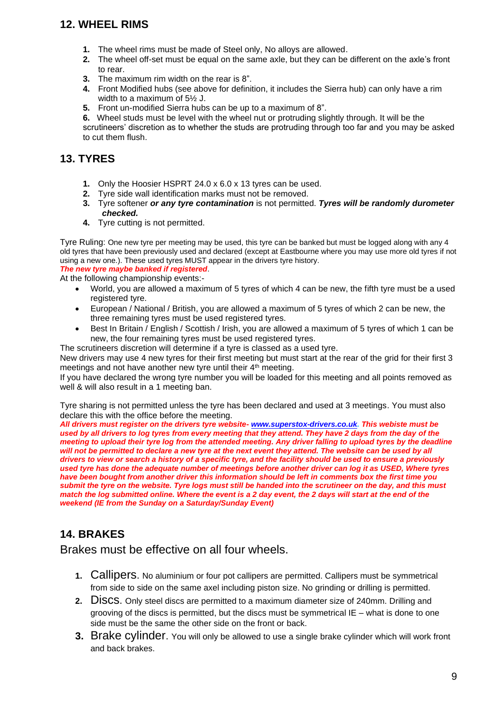# **12. WHEEL RIMS**

- **1.** The wheel rims must be made of Steel only, No alloys are allowed.
- **2.** The wheel off-set must be equal on the same axle, but they can be different on the axle's front to rear.
- **3.** The maximum rim width on the rear is 8".
- **4.** Front Modified hubs (see above for definition, it includes the Sierra hub) can only have a rim width to a maximum of 5½ J.
- **5.** Front un-modified Sierra hubs can be up to a maximum of 8".

**6.**Wheel studs must be level with the wheel nut or protruding slightly through. It will be the scrutineers' discretion as to whether the studs are protruding through too far and you may be asked to cut them flush.

## **13. TYRES**

- **1.** Only the Hoosier HSPRT 24.0 x 6.0 x 13 tyres can be used.
- **2.** Tyre side wall identification marks must not be removed.
- **3.** Tyre softener *or any tyre contamination* is not permitted. *Tyres will be randomly durometer checked.*
- **4.** Tyre cutting is not permitted.

Tyre Ruling: One new tyre per meeting may be used, this tyre can be banked but must be logged along with any 4 old tyres that have been previously used and declared (except at Eastbourne where you may use more old tyres if not using a new one.). These used tyres MUST appear in the drivers tyre history.

*The new tyre maybe banked if registered*.

- At the following championship events:-
	- World, you are allowed a maximum of 5 tyres of which 4 can be new, the fifth tyre must be a used registered tyre.
	- European / National / British, you are allowed a maximum of 5 tyres of which 2 can be new, the three remaining tyres must be used registered tyres.
	- Best In Britain / English / Scottish / Irish, you are allowed a maximum of 5 tyres of which 1 can be new, the four remaining tyres must be used registered tyres.

The scrutineers discretion will determine if a tyre is classed as a used tyre.

New drivers may use 4 new tyres for their first meeting but must start at the rear of the grid for their first 3 meetings and not have another new tyre until their 4<sup>th</sup> meeting.

If you have declared the wrong tyre number you will be loaded for this meeting and all points removed as well & will also result in a 1 meeting ban.

Tyre sharing is not permitted unless the tyre has been declared and used at 3 meetings. You must also declare this with the office before the meeting.

*All drivers must register on the drivers tyre website- [www.superstox-drivers.co.uk.](http://www.superstox-drivers.co.uk/) This webiste must be used by all drivers to log tyres from every meeting that they attend. They have 2 days from the day of the meeting to upload their tyre log from the attended meeting. Any driver falling to upload tyres by the deadline*  will not be permitted to declare a new tyre at the next event they attend. The website can be used by all *drivers to view or search a history of a specific tyre, and the facility should be used to ensure a previously used tyre has done the adequate number of meetings before another driver can log it as USED, Where tyres have been bought from another driver this information should be left in comments box the first time you submit the tyre on the website. Tyre logs must still be handed into the scrutineer on the day, and this must match the log submitted online. Where the event is a 2 day event, the 2 days will start at the end of the weekend (IE from the Sunday on a Saturday/Sunday Event)* 

# **14. BRAKES**

Brakes must be effective on all four wheels.

- **1.** Callipers. No aluminium or four pot callipers are permitted. Callipers must be symmetrical from side to side on the same axel including piston size. No grinding or drilling is permitted.
- **2.** Discs. Only steel discs are permitted to a maximum diameter size of 240mm. Drilling and grooving of the discs is permitted, but the discs must be symmetrical  $IE -$  what is done to one side must be the same the other side on the front or back.
- **3.** Brake cylinder. You will only be allowed to use a single brake cylinder which will work front and back brakes.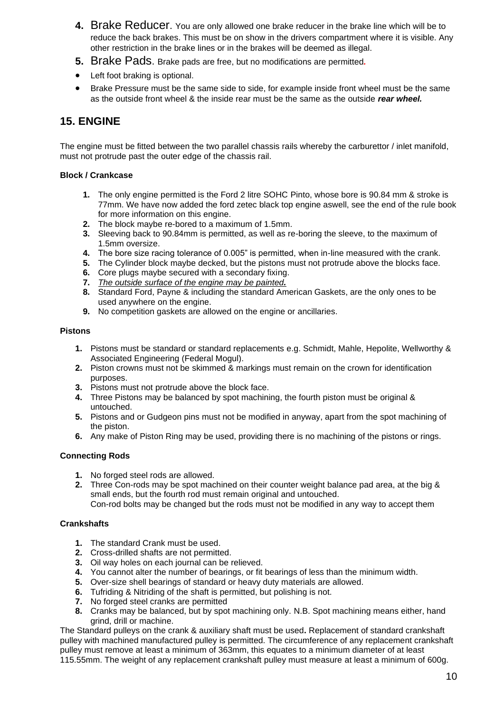- **4.** Brake Reducer. You are only allowed one brake reducer in the brake line which will be to reduce the back brakes. This must be on show in the drivers compartment where it is visible. Any other restriction in the brake lines or in the brakes will be deemed as illegal.
- **5.** Brake Pads. Brake pads are free, but no modifications are permitted*.*
- Left foot braking is optional.
- Brake Pressure must be the same side to side, for example inside front wheel must be the same as the outside front wheel & the inside rear must be the same as the outside *rear wheel.*

## **15. ENGINE**

The engine must be fitted between the two parallel chassis rails whereby the carburettor / inlet manifold, must not protrude past the outer edge of the chassis rail.

#### **Block / Crankcase**

- **1.** The only engine permitted is the Ford 2 litre SOHC Pinto, whose bore is 90.84 mm & stroke is 77mm. We have now added the ford zetec black top engine aswell, see the end of the rule book for more information on this engine.
- **2.** The block maybe re-bored to a maximum of 1.5mm.
- **3.** Sleeving back to 90.84mm is permitted, as well as re-boring the sleeve, to the maximum of 1.5mm oversize.
- **4.** The bore size racing tolerance of 0.005" is permitted, when in-line measured with the crank.
- **5.** The Cylinder block maybe decked, but the pistons must not protrude above the blocks face.
- **6.** Core plugs maybe secured with a secondary fixing.
- **7.** *The outside surface of the engine may be painted.*
- **8.** Standard Ford, Payne & including the standard American Gaskets, are the only ones to be used anywhere on the engine.
- **9.** No competition gaskets are allowed on the engine or ancillaries.

#### **Pistons**

- **1.** Pistons must be standard or standard replacements e.g. Schmidt, Mahle, Hepolite, Wellworthy & Associated Engineering (Federal Mogul).
- **2.** Piston crowns must not be skimmed & markings must remain on the crown for identification purposes.
- **3.** Pistons must not protrude above the block face.
- **4.** Three Pistons may be balanced by spot machining, the fourth piston must be original & untouched.
- **5.** Pistons and or Gudgeon pins must not be modified in anyway, apart from the spot machining of the piston.
- **6.** Any make of Piston Ring may be used, providing there is no machining of the pistons or rings.

#### **Connecting Rods**

- **1.** No forged steel rods are allowed.
- **2.** Three Con-rods may be spot machined on their counter weight balance pad area, at the big & small ends, but the fourth rod must remain original and untouched. Con-rod bolts may be changed but the rods must not be modified in any way to accept them

#### **Crankshafts**

- **1.** The standard Crank must be used.
- **2.** Cross-drilled shafts are not permitted.
- **3.** Oil way holes on each journal can be relieved.
- **4.** You cannot alter the number of bearings, or fit bearings of less than the minimum width.
- **5.** Over-size shell bearings of standard or heavy duty materials are allowed.
- **6.** Tufriding & Nitriding of the shaft is permitted, but polishing is not.
- **7.** No forged steel cranks are permitted
- **8.** Cranks may be balanced, but by spot machining only. N.B. Spot machining means either, hand grind, drill or machine.

The Standard pulleys on the crank & auxiliary shaft must be used**.** Replacement of standard crankshaft pulley with machined manufactured pulley is permitted. The circumference of any replacement crankshaft pulley must remove at least a minimum of 363mm, this equates to a minimum diameter of at least 115.55mm. The weight of any replacement crankshaft pulley must measure at least a minimum of 600g.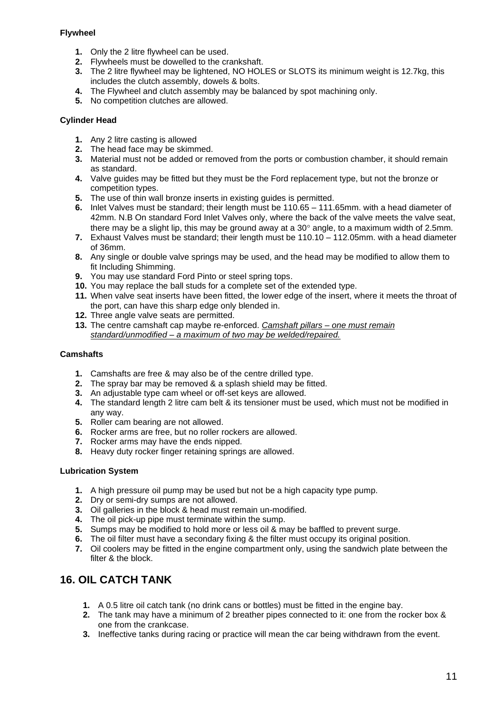#### **Flywheel**

- **1.** Only the 2 litre flywheel can be used.
- **2.** Flywheels must be dowelled to the crankshaft.
- **3.** The 2 litre flywheel may be lightened, NO HOLES or SLOTS its minimum weight is 12.7kg, this includes the clutch assembly, dowels & bolts.
- **4.** The Flywheel and clutch assembly may be balanced by spot machining only.
- **5.** No competition clutches are allowed.

#### **Cylinder Head**

- **1.** Any 2 litre casting is allowed
- **2.** The head face may be skimmed.
- **3.** Material must not be added or removed from the ports or combustion chamber, it should remain as standard.
- **4.** Valve guides may be fitted but they must be the Ford replacement type, but not the bronze or competition types.
- **5.** The use of thin wall bronze inserts in existing guides is permitted.
- **6.** Inlet Valves must be standard; their length must be 110.65 111.65mm. with a head diameter of 42mm. N.B On standard Ford Inlet Valves only, where the back of the valve meets the valve seat, there may be a slight lip, this may be ground away at a 30 $^{\circ}$  angle, to a maximum width of 2.5mm.
- **7.** Exhaust Valves must be standard; their length must be 110.10 112.05mm. with a head diameter of 36mm.
- **8.** Any single or double valve springs may be used, and the head may be modified to allow them to fit Including Shimming.
- **9.** You may use standard Ford Pinto or steel spring tops.
- **10.** You may replace the ball studs for a complete set of the extended type.
- **11.** When valve seat inserts have been fitted, the lower edge of the insert, where it meets the throat of the port, can have this sharp edge only blended in.
- **12.** Three angle valve seats are permitted.
- **13.** The centre camshaft cap maybe re-enforced. *Camshaft pillars – one must remain standard/unmodified – a maximum of two may be welded/repaired.*

#### **Camshafts**

- **1.** Camshafts are free & may also be of the centre drilled type.
- **2.** The spray bar may be removed & a splash shield may be fitted.
- **3.** An adjustable type cam wheel or off-set keys are allowed.
- **4.** The standard length 2 litre cam belt & its tensioner must be used, which must not be modified in any way.
- **5.** Roller cam bearing are not allowed.
- **6.** Rocker arms are free, but no roller rockers are allowed.
- **7.** Rocker arms may have the ends nipped.
- **8.** Heavy duty rocker finger retaining springs are allowed.

#### **Lubrication System**

- **1.** A high pressure oil pump may be used but not be a high capacity type pump.
- **2.** Dry or semi-dry sumps are not allowed.
- **3.** Oil galleries in the block & head must remain un-modified.
- **4.** The oil pick-up pipe must terminate within the sump.
- **5.** Sumps may be modified to hold more or less oil & may be baffled to prevent surge.
- **6.** The oil filter must have a secondary fixing & the filter must occupy its original position.
- **7.** Oil coolers may be fitted in the engine compartment only, using the sandwich plate between the filter & the block.

# **16. OIL CATCH TANK**

- **1.** A 0.5 litre oil catch tank (no drink cans or bottles) must be fitted in the engine bay.
- **2.** The tank may have a minimum of 2 breather pipes connected to it: one from the rocker box & one from the crankcase.
- **3.** Ineffective tanks during racing or practice will mean the car being withdrawn from the event.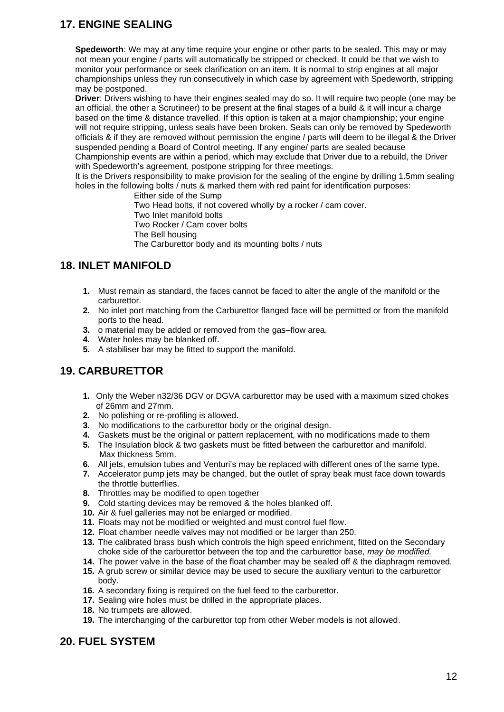# **17. ENGINE SEALING**

**Spedeworth**: We may at any time require your engine or other parts to be sealed. This may or may not mean your engine / parts will automatically be stripped or checked. It could be that we wish to monitor your performance or seek clarification on an item. It is normal to strip engines at all major championships unless they run consecutively in which case by agreement with Spedeworth, stripping may be postponed.

**Driver**: Drivers wishing to have their engines sealed may do so. It will require two people (one may be an official, the other a Scrutineer) to be present at the final stages of a build & it will incur a charge based on the time & distance travelled. If this option is taken at a major championship; your engine will not require stripping, unless seals have been broken. Seals can only be removed by Spedeworth officials & if they are removed without permission the engine / parts will deem to be illegal & the Driver suspended pending a Board of Control meeting. If any engine/ parts are sealed because

Championship events are within a period, which may exclude that Driver due to a rebuild, the Driver with Spedeworth's agreement, postpone stripping for three meetings.

It is the Drivers responsibility to make provision for the sealing of the engine by drilling 1.5mm sealing holes in the following bolts / nuts & marked them with red paint for identification purposes:

 Either side of the Sump Two Head bolts, if not covered wholly by a rocker / cam cover. Two Inlet manifold bolts Two Rocker / Cam cover bolts The Bell housing The Carburettor body and its mounting bolts / nuts

## **18. INLET MANIFOLD**

- **1.** Must remain as standard, the faces cannot be faced to alter the angle of the manifold or the carburettor.
- **2.** No inlet port matching from the Carburettor flanged face will be permitted or from the manifold ports to the head.
- **3.** o material may be added or removed from the gas–flow area.
- **4.** Water holes may be blanked off.
- **5.** A stabiliser bar may be fitted to support the manifold.

## **19. CARBURETTOR**

- **1.** Only the Weber n32/36 DGV or DGVA carburettor may be used with a maximum sized chokes of 26mm and 27mm.
- **2.** No polishing or re-profiling is allowed**.**
- **3.** No modifications to the carburettor body or the original design.
- **4.** Gaskets must be the original or pattern replacement, with no modifications made to them
- **5.** The Insulation block & two gaskets must be fitted between the carburettor and manifold. Max thickness 5mm.
- **6.** All jets, emulsion tubes and Venturi's may be replaced with different ones of the same type.
- **7.** Accelerator pump jets may be changed, but the outlet of spray beak must face down towards the throttle butterflies.
- **8.** Throttles may be modified to open together
- **9.** Cold starting devices may be removed & the holes blanked off.
- **10.** Air & fuel galleries may not be enlarged or modified.
- **11.** Floats may not be modified or weighted and must control fuel flow.
- **12.** Float chamber needle valves may not modified or be larger than 250.
- **13.** The calibrated brass bush which controls the high speed enrichment, fitted on the Secondary choke side of the carburettor between the top and the carburettor base, *may be modified.*
- **14.** The power valve in the base of the float chamber may be sealed off & the diaphragm removed.
- **15.** A grub screw or similar device may be used to secure the auxiliary venturi to the carburettor body.
- **16.** A secondary fixing is required on the fuel feed to the carburettor.
- **17.** Sealing wire holes must be drilled in the appropriate places.
- **18.** No trumpets are allowed.
- **19.** The interchanging of the carburettor top from other Weber models is not allowed.

## **20. FUEL SYSTEM**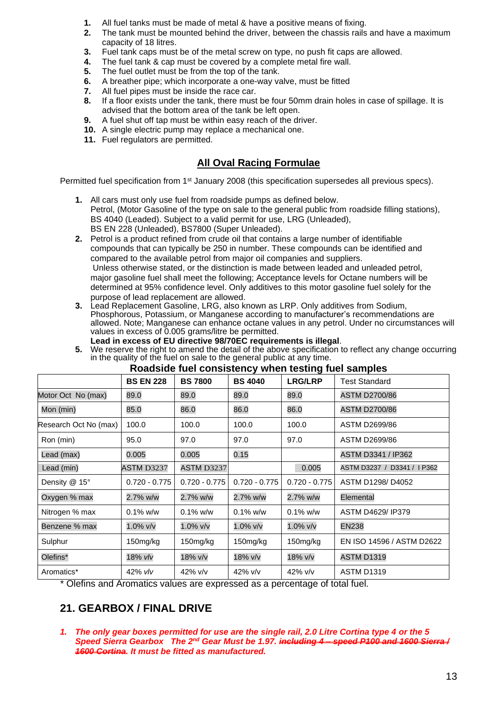- **1.** All fuel tanks must be made of metal & have a positive means of fixing.
- **2.** The tank must be mounted behind the driver, between the chassis rails and have a maximum capacity of 18 litres.
- **3.** Fuel tank caps must be of the metal screw on type, no push fit caps are allowed.
- **4.** The fuel tank & cap must be covered by a complete metal fire wall.
- **5.** The fuel outlet must be from the top of the tank.
- **6.** A breather pipe; which incorporate a one-way valve, must be fitted
- **7.** All fuel pipes must be inside the race car.
- **8.** If a floor exists under the tank, there must be four 50mm drain holes in case of spillage. It is advised that the bottom area of the tank be left open.
- **9.** A fuel shut off tap must be within easy reach of the driver.
- **10.** A single electric pump may replace a mechanical one.
- **11.** Fuel regulators are permitted.

#### **All Oval Racing Formulae**

Permitted fuel specification from 1<sup>st</sup> January 2008 (this specification supersedes all previous specs).

- **1.** All cars must only use fuel from roadside pumps as defined below. Petrol, (Motor Gasoline of the type on sale to the general public from roadside filling stations), BS 4040 (Leaded). Subject to a valid permit for use, LRG (Unleaded), BS EN 228 (Unleaded), BS7800 (Super Unleaded).
- **2.** Petrol is a product refined from crude oil that contains a large number of identifiable compounds that can typically be 250 in number. These compounds can be identified and compared to the available petrol from major oil companies and suppliers. Unless otherwise stated, or the distinction is made between leaded and unleaded petrol, major gasoline fuel shall meet the following; Acceptance levels for Octane numbers will be determined at 95% confidence level. Only additives to this motor gasoline fuel solely for the purpose of lead replacement are allowed.
- **3.** Lead Replacement Gasoline, LRG, also known as LRP. Only additives from Sodium, Phosphorous, Potassium, or Manganese according to manufacturer's recommendations are allowed. Note; Manganese can enhance octane values in any petrol. Under no circumstances will values in excess of 0.005 grams/litre be permitted.  **Lead in excess of EU directive 98/70EC requirements is illegal**.
- **5.** We reserve the right to amend the detail of the above specification to reflect any change occurring in the quality of the fuel on sale to the general public at any time. **Roadside fuel consistency when testing fuel samples**

|                       | <b>BS EN 228</b> | <b>BS 7800</b>    | <b>BS 4040</b>  | <b>LRG/LRP</b>  | <b>Test Standard</b>        |
|-----------------------|------------------|-------------------|-----------------|-----------------|-----------------------------|
| Motor Oct No (max)    | 89.0             | 89.0              | 89.0            | 89.0            | <b>ASTM D2700/86</b>        |
| Mon (min)             | 85.0             | 86.0              | 86.0            | 86.0            | <b>ASTM D2700/86</b>        |
| Research Oct No (max) | 100.0            | 100.0             | 100.0           | 100.0           | ASTM D2699/86               |
| Ron (min)             | 95.0             | 97.0              | 97.0            | 97.0            | ASTM D2699/86               |
| Lead (max)            | 0.005            | 0.005             | 0.15            |                 | ASTM D3341 / IP362          |
| Lead (min)            | ASTM D3237       | <b>ASTM D3237</b> |                 | 0.005           | ASTM D3237 / D3341 / I P362 |
| Density @ 15°         | $0.720 - 0.775$  | $0.720 - 0.775$   | $0.720 - 0.775$ | $0.720 - 0.775$ | ASTM D1298/D4052            |
| Oxygen % max          | 2.7% w/w         | 2.7% w/w          | 2.7% w/w        | 2.7% w/w        | Elemental                   |
| Nitrogen % max        | $0.1\%$ w/w      | $0.1\%$ w/w       | $0.1\%$ w/w     | $0.1\%$ w/w     | ASTM D4629/ IP379           |
| Benzene % max         | 1.0% v/v         | 1.0% v/v          | 1.0% v/v        | 1.0% v/v        | <b>EN238</b>                |
| Sulphur               | 150mg/kg         | 150mg/kg          | 150mg/kg        | 150mg/kg        | EN ISO 14596 / ASTM D2622   |
| Olefins*              | 18% vlv          | 18% v/v           | 18% v/v         | 18% v/v         | <b>ASTM D1319</b>           |
| Aromatics*            | 42% vlv          | $42\%$ v/v        | 42% v/v         | $42\%$ v/v      | <b>ASTM D1319</b>           |

\* Olefins and Aromatics values are expressed as a percentage of total fuel.

## **21. GEARBOX / FINAL DRIVE**

*1. The only gear boxes permitted for use are the single rail, 2.0 Litre Cortina type 4 or the 5 Speed Sierra Gearbox The 2nd Gear Must be 1.97. including 4 – speed P100 and 1600 Sierra / 1600 Cortina. It must be fitted as manufactured.*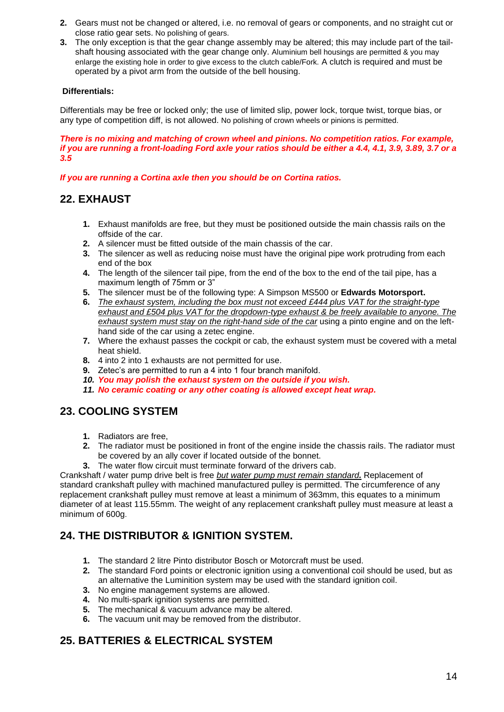- **2.** Gears must not be changed or altered, i.e. no removal of gears or components, and no straight cut or close ratio gear sets. No polishing of gears.
- **3.** The only exception is that the gear change assembly may be altered; this may include part of the tailshaft housing associated with the gear change only. Aluminium bell housings are permitted & you may enlarge the existing hole in order to give excess to the clutch cable/Fork. A clutch is required and must be operated by a pivot arm from the outside of the bell housing.

#### **Differentials:**

Differentials may be free or locked only; the use of limited slip, power lock, torque twist, torque bias, or any type of competition diff, is not allowed. No polishing of crown wheels or pinions is permitted.

*There is no mixing and matching of crown wheel and pinions. No competition ratios. For example, if you are running a front-loading Ford axle your ratios should be either a 4.4, 4.1, 3.9, 3.89, 3.7 or a 3.5*

*If you are running a Cortina axle then you should be on Cortina ratios.*

## **22. EXHAUST**

- **1.** Exhaust manifolds are free, but they must be positioned outside the main chassis rails on the offside of the car.
- **2.** A silencer must be fitted outside of the main chassis of the car.
- **3.** The silencer as well as reducing noise must have the original pipe work protruding from each end of the box
- **4.** The length of the silencer tail pipe, from the end of the box to the end of the tail pipe, has a maximum length of 75mm or 3"
- **5.** The silencer must be of the following type: A Simpson MS500 or **Edwards Motorsport.**
- **6.** *The exhaust system, including the box must not exceed £444 plus VAT for the straight-type exhaust and £504 plus VAT for the dropdown-type exhaust & be freely available to anyone. The exhaust system must stay on the right-hand side of the car* using a pinto engine and on the lefthand side of the car using a zetec engine.
- **7.** Where the exhaust passes the cockpit or cab, the exhaust system must be covered with a metal heat shield.
- **8.** 4 into 2 into 1 exhausts are not permitted for use.
- **9.** Zetec's are permitted to run a 4 into 1 four branch manifold.
- *10. You may polish the exhaust system on the outside if you wish.*
- *11. No ceramic coating or any other coating is allowed except heat wrap.*

## **23. COOLING SYSTEM**

- **1.** Radiators are free,
- **2.** The radiator must be positioned in front of the engine inside the chassis rails. The radiator must be covered by an ally cover if located outside of the bonnet.
- **3.** The water flow circuit must terminate forward of the drivers cab.

Crankshaft / water pump drive belt is free *but water pump must remain standard.* Replacement of standard crankshaft pulley with machined manufactured pulley is permitted. The circumference of any replacement crankshaft pulley must remove at least a minimum of 363mm, this equates to a minimum diameter of at least 115.55mm. The weight of any replacement crankshaft pulley must measure at least a minimum of 600g.

## **24. THE DISTRIBUTOR & IGNITION SYSTEM.**

- **1.** The standard 2 litre Pinto distributor Bosch or Motorcraft must be used.
- **2.** The standard Ford points or electronic ignition using a conventional coil should be used, but as an alternative the Luminition system may be used with the standard ignition coil.
- **3.** No engine management systems are allowed.
- **4.** No multi-spark ignition systems are permitted.
- **5.** The mechanical & vacuum advance may be altered.
- **6.** The vacuum unit may be removed from the distributor.

## **25. BATTERIES & ELECTRICAL SYSTEM**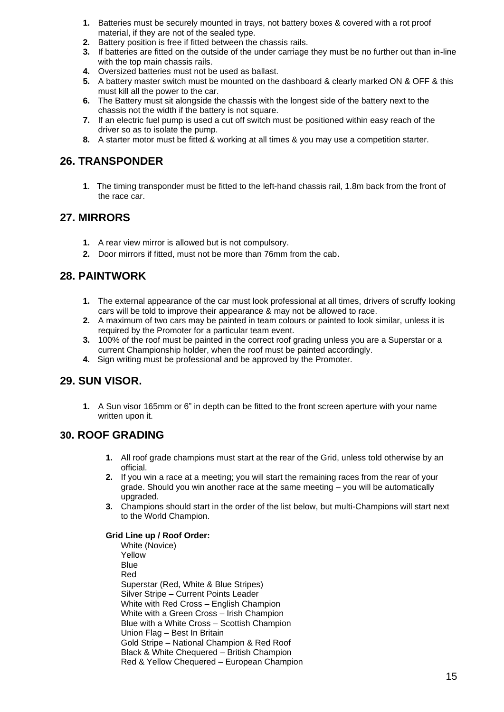- **1.** Batteries must be securely mounted in trays, not battery boxes & covered with a rot proof material, if they are not of the sealed type.
- **2.** Battery position is free if fitted between the chassis rails.
- **3.** If batteries are fitted on the outside of the under carriage they must be no further out than in-line with the top main chassis rails.
- **4.** Oversized batteries must not be used as ballast.
- **5.** A battery master switch must be mounted on the dashboard & clearly marked ON & OFF & this must kill all the power to the car.
- **6.** The Battery must sit alongside the chassis with the longest side of the battery next to the chassis not the width if the battery is not square.
- **7.** If an electric fuel pump is used a cut off switch must be positioned within easy reach of the driver so as to isolate the pump.
- **8.** A starter motor must be fitted & working at all times & you may use a competition starter.

#### **26. TRANSPONDER**

**1**. The timing transponder must be fitted to the left-hand chassis rail, 1.8m back from the front of the race car.

## **27. MIRRORS**

- **1.** A rear view mirror is allowed but is not compulsory.
- **2.** Door mirrors if fitted, must not be more than 76mm from the cab.

## **28. PAINTWORK**

- **1.** The external appearance of the car must look professional at all times, drivers of scruffy looking cars will be told to improve their appearance & may not be allowed to race.
- **2.** A maximum of two cars may be painted in team colours or painted to look similar, unless it is required by the Promoter for a particular team event.
- **3.** 100% of the roof must be painted in the correct roof grading unless you are a Superstar or a current Championship holder, when the roof must be painted accordingly.
- **4.** Sign writing must be professional and be approved by the Promoter.

#### **29. SUN VISOR.**

**1.** A Sun visor 165mm or 6" in depth can be fitted to the front screen aperture with your name written upon it.

#### **30. ROOF GRADING**

- **1.** All roof grade champions must start at the rear of the Grid, unless told otherwise by an official.
- **2.** If you win a race at a meeting; you will start the remaining races from the rear of your grade. Should you win another race at the same meeting – you will be automatically upgraded.
- **3.** Champions should start in the order of the list below, but multi-Champions will start next to the World Champion.

#### **Grid Line up / Roof Order:**

White (Novice) Yellow **Blue** Red Superstar (Red, White & Blue Stripes) Silver Stripe – Current Points Leader White with Red Cross – English Champion White with a Green Cross – Irish Champion Blue with a White Cross – Scottish Champion Union Flag – Best In Britain Gold Stripe – National Champion & Red Roof Black & White Chequered – British Champion Red & Yellow Chequered – European Champion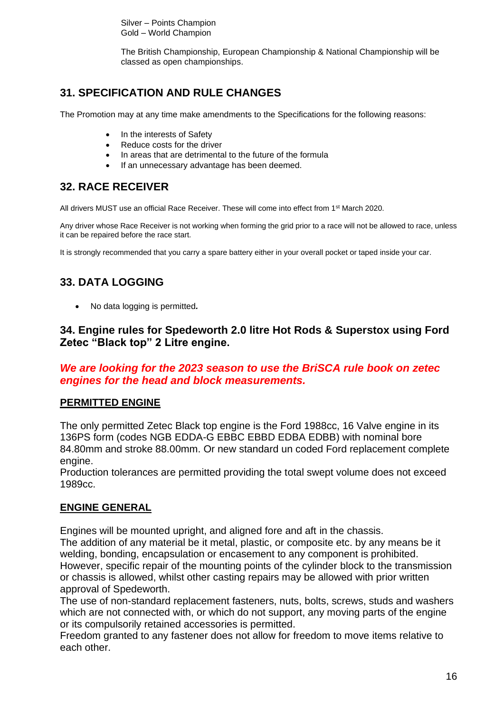Silver – Points Champion Gold – World Champion

The British Championship, European Championship & National Championship will be classed as open championships.

# **31. SPECIFICATION AND RULE CHANGES**

The Promotion may at any time make amendments to the Specifications for the following reasons:

- In the interests of Safety
- Reduce costs for the driver
- In areas that are detrimental to the future of the formula
- If an unnecessary advantage has been deemed.

# **32. RACE RECEIVER**

All drivers MUST use an official Race Receiver. These will come into effect from 1st March 2020.

Any driver whose Race Receiver is not working when forming the grid prior to a race will not be allowed to race, unless it can be repaired before the race start.

It is strongly recommended that you carry a spare battery either in your overall pocket or taped inside your car.

# **33. DATA LOGGING**

• No data logging is permitted*.*

## **34. Engine rules for Spedeworth 2.0 litre Hot Rods & Superstox using Ford Zetec "Black top" 2 Litre engine.**

## *We are looking for the 2023 season to use the BriSCA rule book on zetec engines for the head and block measurements.*

## **PERMITTED ENGINE**

The only permitted Zetec Black top engine is the Ford 1988cc, 16 Valve engine in its 136PS form (codes NGB EDDA-G EBBC EBBD EDBA EDBB) with nominal bore 84.80mm and stroke 88.00mm. Or new standard un coded Ford replacement complete engine.

Production tolerances are permitted providing the total swept volume does not exceed 1989cc.

## **ENGINE GENERAL**

Engines will be mounted upright, and aligned fore and aft in the chassis.

The addition of any material be it metal, plastic, or composite etc. by any means be it welding, bonding, encapsulation or encasement to any component is prohibited. However, specific repair of the mounting points of the cylinder block to the transmission or chassis is allowed, whilst other casting repairs may be allowed with prior written approval of Spedeworth.

The use of non-standard replacement fasteners, nuts, bolts, screws, studs and washers which are not connected with, or which do not support, any moving parts of the engine or its compulsorily retained accessories is permitted.

Freedom granted to any fastener does not allow for freedom to move items relative to each other.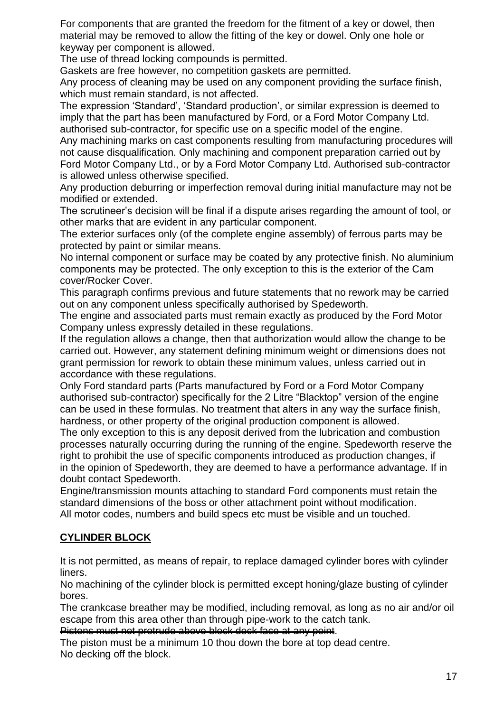For components that are granted the freedom for the fitment of a key or dowel, then material may be removed to allow the fitting of the key or dowel. Only one hole or keyway per component is allowed.

The use of thread locking compounds is permitted.

Gaskets are free however, no competition gaskets are permitted.

Any process of cleaning may be used on any component providing the surface finish, which must remain standard, is not affected.

The expression 'Standard', 'Standard production', or similar expression is deemed to imply that the part has been manufactured by Ford, or a Ford Motor Company Ltd. authorised sub-contractor, for specific use on a specific model of the engine.

Any machining marks on cast components resulting from manufacturing procedures will not cause disqualification. Only machining and component preparation carried out by Ford Motor Company Ltd., or by a Ford Motor Company Ltd. Authorised sub-contractor is allowed unless otherwise specified.

Any production deburring or imperfection removal during initial manufacture may not be modified or extended.

The scrutineer's decision will be final if a dispute arises regarding the amount of tool, or other marks that are evident in any particular component.

The exterior surfaces only (of the complete engine assembly) of ferrous parts may be protected by paint or similar means.

No internal component or surface may be coated by any protective finish. No aluminium components may be protected. The only exception to this is the exterior of the Cam cover/Rocker Cover.

This paragraph confirms previous and future statements that no rework may be carried out on any component unless specifically authorised by Spedeworth.

The engine and associated parts must remain exactly as produced by the Ford Motor Company unless expressly detailed in these regulations.

If the regulation allows a change, then that authorization would allow the change to be carried out. However, any statement defining minimum weight or dimensions does not grant permission for rework to obtain these minimum values, unless carried out in accordance with these regulations.

Only Ford standard parts (Parts manufactured by Ford or a Ford Motor Company authorised sub-contractor) specifically for the 2 Litre "Blacktop" version of the engine can be used in these formulas. No treatment that alters in any way the surface finish, hardness, or other property of the original production component is allowed.

The only exception to this is any deposit derived from the lubrication and combustion processes naturally occurring during the running of the engine. Spedeworth reserve the right to prohibit the use of specific components introduced as production changes, if in the opinion of Spedeworth, they are deemed to have a performance advantage. If in doubt contact Spedeworth.

Engine/transmission mounts attaching to standard Ford components must retain the standard dimensions of the boss or other attachment point without modification. All motor codes, numbers and build specs etc must be visible and un touched.

# **CYLINDER BLOCK**

It is not permitted, as means of repair, to replace damaged cylinder bores with cylinder liners.

No machining of the cylinder block is permitted except honing/glaze busting of cylinder bores.

The crankcase breather may be modified, including removal, as long as no air and/or oil escape from this area other than through pipe-work to the catch tank.

Pistons must not protrude above block deck face at any point.

The piston must be a minimum 10 thou down the bore at top dead centre. No decking off the block.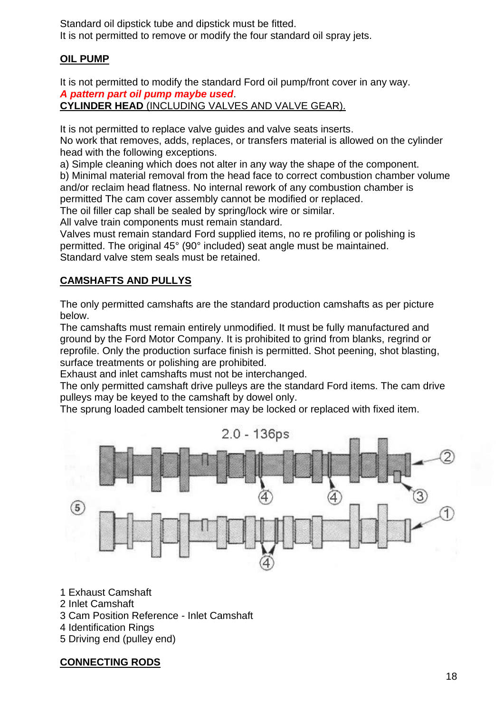Standard oil dipstick tube and dipstick must be fitted. It is not permitted to remove or modify the four standard oil spray jets.

## **OIL PUMP**

It is not permitted to modify the standard Ford oil pump/front cover in any way. *A pattern part oil pump maybe used*.

**CYLINDER HEAD** (INCLUDING VALVES AND VALVE GEAR).

It is not permitted to replace valve guides and valve seats inserts.

No work that removes, adds, replaces, or transfers material is allowed on the cylinder head with the following exceptions.

a) Simple cleaning which does not alter in any way the shape of the component. b) Minimal material removal from the head face to correct combustion chamber volume and/or reclaim head flatness. No internal rework of any combustion chamber is permitted The cam cover assembly cannot be modified or replaced.

The oil filler cap shall be sealed by spring/lock wire or similar.

All valve train components must remain standard.

Valves must remain standard Ford supplied items, no re profiling or polishing is permitted. The original 45° (90° included) seat angle must be maintained. Standard valve stem seals must be retained.

## **CAMSHAFTS AND PULLYS**

The only permitted camshafts are the standard production camshafts as per picture below.

The camshafts must remain entirely unmodified. It must be fully manufactured and ground by the Ford Motor Company. It is prohibited to grind from blanks, regrind or reprofile. Only the production surface finish is permitted. Shot peening, shot blasting, surface treatments or polishing are prohibited.

Exhaust and inlet camshafts must not be interchanged.

The only permitted camshaft drive pulleys are the standard Ford items. The cam drive pulleys may be keyed to the camshaft by dowel only.

The sprung loaded cambelt tensioner may be locked or replaced with fixed item.



1 Exhaust Camshaft

- 2 Inlet Camshaft
- 3 Cam Position Reference Inlet Camshaft
- 4 Identification Rings
- 5 Driving end (pulley end)

## **CONNECTING RODS**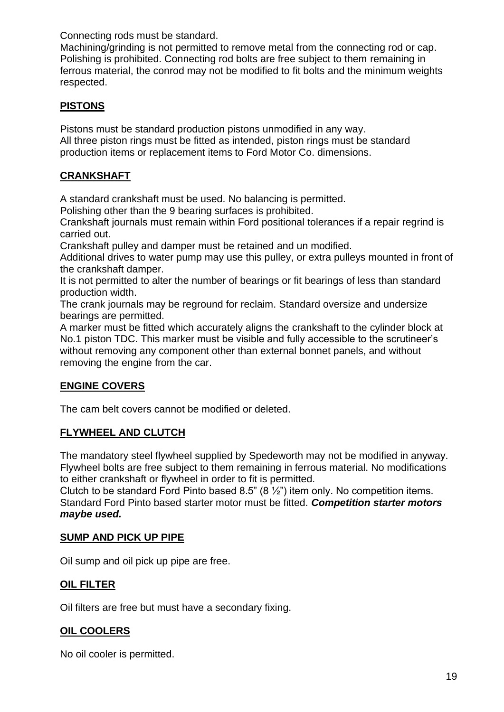Connecting rods must be standard.

Machining/grinding is not permitted to remove metal from the connecting rod or cap. Polishing is prohibited. Connecting rod bolts are free subject to them remaining in ferrous material, the conrod may not be modified to fit bolts and the minimum weights respected.

## **PISTONS**

Pistons must be standard production pistons unmodified in any way. All three piston rings must be fitted as intended, piston rings must be standard production items or replacement items to Ford Motor Co. dimensions.

## **CRANKSHAFT**

A standard crankshaft must be used. No balancing is permitted.

Polishing other than the 9 bearing surfaces is prohibited.

Crankshaft journals must remain within Ford positional tolerances if a repair regrind is carried out.

Crankshaft pulley and damper must be retained and un modified.

Additional drives to water pump may use this pulley, or extra pulleys mounted in front of the crankshaft damper.

It is not permitted to alter the number of bearings or fit bearings of less than standard production width.

The crank journals may be reground for reclaim. Standard oversize and undersize bearings are permitted.

A marker must be fitted which accurately aligns the crankshaft to the cylinder block at No.1 piston TDC. This marker must be visible and fully accessible to the scrutineer's without removing any component other than external bonnet panels, and without removing the engine from the car.

## **ENGINE COVERS**

The cam belt covers cannot be modified or deleted.

## **FLYWHEEL AND CLUTCH**

The mandatory steel flywheel supplied by Spedeworth may not be modified in anyway. Flywheel bolts are free subject to them remaining in ferrous material. No modifications to either crankshaft or flywheel in order to fit is permitted.

Clutch to be standard Ford Pinto based 8.5" (8  $\frac{1}{2}$ ") item only. No competition items. Standard Ford Pinto based starter motor must be fitted. *Competition starter motors maybe used.*

## **SUMP AND PICK UP PIPE**

Oil sump and oil pick up pipe are free.

## **OIL FILTER**

Oil filters are free but must have a secondary fixing.

## **OIL COOLERS**

No oil cooler is permitted.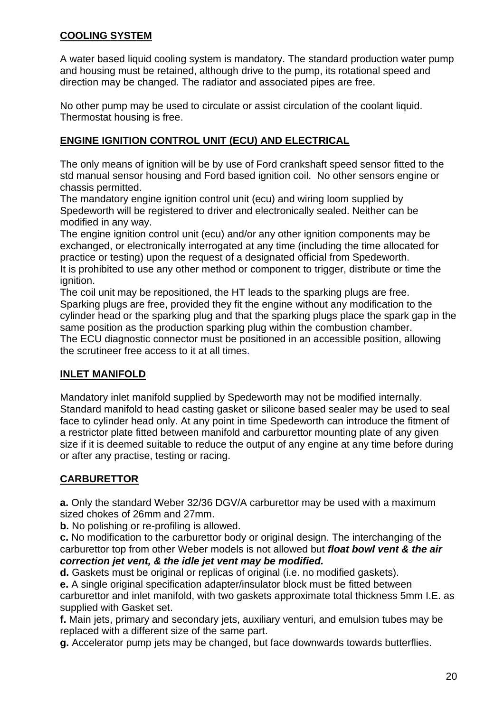## **COOLING SYSTEM**

A water based liquid cooling system is mandatory. The standard production water pump and housing must be retained, although drive to the pump, its rotational speed and direction may be changed. The radiator and associated pipes are free.

No other pump may be used to circulate or assist circulation of the coolant liquid. Thermostat housing is free.

## **ENGINE IGNITION CONTROL UNIT (ECU) AND ELECTRICAL**

The only means of ignition will be by use of Ford crankshaft speed sensor fitted to the std manual sensor housing and Ford based ignition coil. No other sensors engine or chassis permitted.

The mandatory engine ignition control unit (ecu) and wiring loom supplied by Spedeworth will be registered to driver and electronically sealed. Neither can be modified in any way.

The engine ignition control unit (ecu) and/or any other ignition components may be exchanged, or electronically interrogated at any time (including the time allocated for practice or testing) upon the request of a designated official from Spedeworth. It is prohibited to use any other method or component to trigger, distribute or time the ignition.

The coil unit may be repositioned, the HT leads to the sparking plugs are free. Sparking plugs are free, provided they fit the engine without any modification to the cylinder head or the sparking plug and that the sparking plugs place the spark gap in the same position as the production sparking plug within the combustion chamber. The ECU diagnostic connector must be positioned in an accessible position, allowing the scrutineer free access to it at all times.

## **INLET MANIFOLD**

Mandatory inlet manifold supplied by Spedeworth may not be modified internally. Standard manifold to head casting gasket or silicone based sealer may be used to seal face to cylinder head only. At any point in time Spedeworth can introduce the fitment of a restrictor plate fitted between manifold and carburettor mounting plate of any given size if it is deemed suitable to reduce the output of any engine at any time before during or after any practise, testing or racing.

## **CARBURETTOR**

**a.** Only the standard Weber 32/36 DGV/A carburettor may be used with a maximum sized chokes of 26mm and 27mm.

**b.** No polishing or re-profiling is allowed.

**c.** No modification to the carburettor body or original design. The interchanging of the carburettor top from other Weber models is not allowed but *float bowl vent & the air correction jet vent, & the idle jet vent may be modified.*

**d.** Gaskets must be original or replicas of original (i.e. no modified gaskets).

**e.** A single original specification adapter/insulator block must be fitted between carburettor and inlet manifold, with two gaskets approximate total thickness 5mm I.E. as supplied with Gasket set.

**f.** Main jets, primary and secondary jets, auxiliary venturi, and emulsion tubes may be replaced with a different size of the same part.

**g.** Accelerator pump jets may be changed, but face downwards towards butterflies.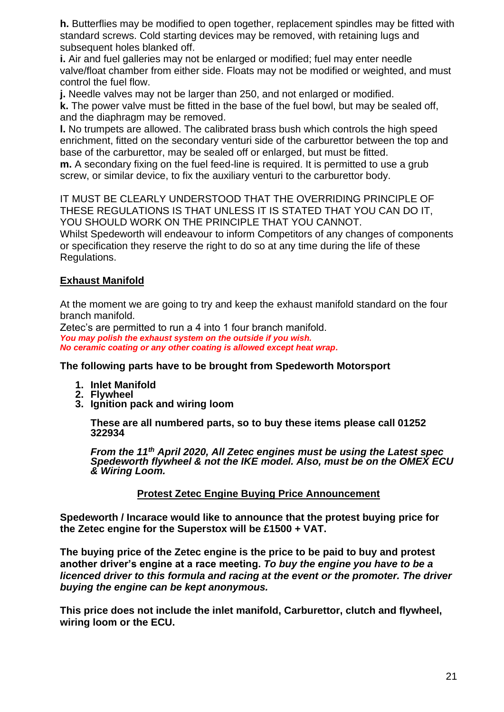**h.** Butterflies may be modified to open together, replacement spindles may be fitted with standard screws. Cold starting devices may be removed, with retaining lugs and subsequent holes blanked off.

**i.** Air and fuel galleries may not be enlarged or modified; fuel may enter needle valve/float chamber from either side. Floats may not be modified or weighted, and must control the fuel flow.

**j.** Needle valves may not be larger than 250, and not enlarged or modified.

**k.** The power valve must be fitted in the base of the fuel bowl, but may be sealed off, and the diaphragm may be removed.

**l.** No trumpets are allowed. The calibrated brass bush which controls the high speed enrichment, fitted on the secondary venturi side of the carburettor between the top and base of the carburettor, may be sealed off or enlarged, but must be fitted.

**m.** A secondary fixing on the fuel feed-line is required. It is permitted to use a grub screw, or similar device, to fix the auxiliary venturi to the carburettor body.

IT MUST BE CLEARLY UNDERSTOOD THAT THE OVERRIDING PRINCIPLE OF THESE REGULATIONS IS THAT UNLESS IT IS STATED THAT YOU CAN DO IT, YOU SHOULD WORK ON THE PRINCIPLE THAT YOU CANNOT.

Whilst Spedeworth will endeavour to inform Competitors of any changes of components or specification they reserve the right to do so at any time during the life of these Regulations.

## **Exhaust Manifold**

At the moment we are going to try and keep the exhaust manifold standard on the four branch manifold.

Zetec's are permitted to run a 4 into 1 four branch manifold. *You may polish the exhaust system on the outside if you wish. No ceramic coating or any other coating is allowed except heat wrap.*

**The following parts have to be brought from Spedeworth Motorsport**

- **1. Inlet Manifold**
- **2. Flywheel**
- **3. Ignition pack and wiring loom**

**These are all numbered parts, so to buy these items please call 01252 322934** 

*From the 11th April 2020, All Zetec engines must be using the Latest spec Spedeworth flywheel & not the IKE model. Also, must be on the OMEX ECU & Wiring Loom.*

## **Protest Zetec Engine Buying Price Announcement**

**Spedeworth / Incarace would like to announce that the protest buying price for the Zetec engine for the Superstox will be £1500 + VAT.**

**The buying price of the Zetec engine is the price to be paid to buy and protest another driver's engine at a race meeting.** *To buy the engine you have to be a licenced driver to this formula and racing at the event or the promoter. The driver buying the engine can be kept anonymous.*

**This price does not include the inlet manifold, Carburettor, clutch and flywheel, wiring loom or the ECU.**